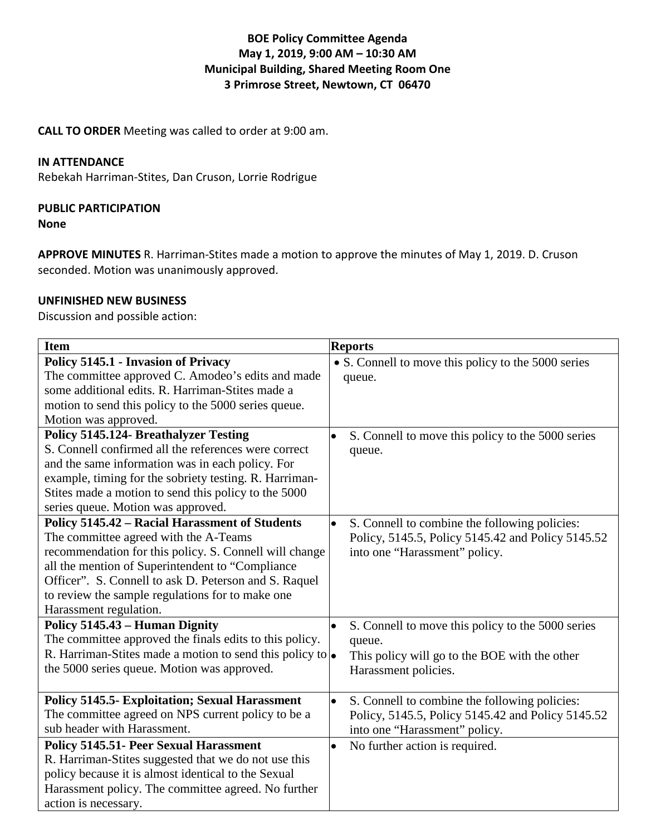# **BOE Policy Committee Agenda May 1, 2019, 9:00 AM – 10:30 AM Municipal Building, Shared Meeting Room One 3 Primrose Street, Newtown, CT 06470**

**CALL TO ORDER** Meeting was called to order at 9:00 am.

### **IN ATTENDANCE**

Rebekah Harriman-Stites, Dan Cruson, Lorrie Rodrigue

### **PUBLIC PARTICIPATION**

**None**

**APPROVE MINUTES** R. Harriman-Stites made a motion to approve the minutes of May 1, 2019. D. Cruson seconded. Motion was unanimously approved.

### **UNFINISHED NEW BUSINESS**

Discussion and possible action:

| <b>Item</b>                                                       | <b>Reports</b>                                                 |
|-------------------------------------------------------------------|----------------------------------------------------------------|
| <b>Policy 5145.1 - Invasion of Privacy</b>                        | • S. Connell to move this policy to the 5000 series            |
| The committee approved C. Amodeo's edits and made                 | queue.                                                         |
| some additional edits. R. Harriman-Stites made a                  |                                                                |
| motion to send this policy to the 5000 series queue.              |                                                                |
| Motion was approved.                                              |                                                                |
| <b>Policy 5145.124- Breathalyzer Testing</b>                      | S. Connell to move this policy to the 5000 series              |
| S. Connell confirmed all the references were correct              | queue.                                                         |
| and the same information was in each policy. For                  |                                                                |
| example, timing for the sobriety testing. R. Harriman-            |                                                                |
| Stites made a motion to send this policy to the 5000              |                                                                |
| series queue. Motion was approved.                                |                                                                |
| <b>Policy 5145.42 - Racial Harassment of Students</b>             | S. Connell to combine the following policies:<br>$\bullet$     |
| The committee agreed with the A-Teams                             | Policy, 5145.5, Policy 5145.42 and Policy 5145.52              |
| recommendation for this policy. S. Connell will change            | into one "Harassment" policy.                                  |
| all the mention of Superintendent to "Compliance                  |                                                                |
| Officer". S. Connell to ask D. Peterson and S. Raquel             |                                                                |
| to review the sample regulations for to make one                  |                                                                |
| Harassment regulation.                                            |                                                                |
| Policy 5145.43 – Human Dignity                                    | S. Connell to move this policy to the 5000 series<br>$\bullet$ |
| The committee approved the finals edits to this policy.           | queue.                                                         |
| R. Harriman-Stites made a motion to send this policy to $\bullet$ | This policy will go to the BOE with the other                  |
| the 5000 series queue. Motion was approved.                       | Harassment policies.                                           |
|                                                                   |                                                                |
| <b>Policy 5145.5- Exploitation; Sexual Harassment</b>             | $\bullet$<br>S. Connell to combine the following policies:     |
| The committee agreed on NPS current policy to be a                | Policy, 5145.5, Policy 5145.42 and Policy 5145.52              |
| sub header with Harassment.                                       | into one "Harassment" policy.                                  |
| <b>Policy 5145.51- Peer Sexual Harassment</b>                     | No further action is required.<br>$\bullet$                    |
| R. Harriman-Stites suggested that we do not use this              |                                                                |
| policy because it is almost identical to the Sexual               |                                                                |
| Harassment policy. The committee agreed. No further               |                                                                |
| action is necessary.                                              |                                                                |